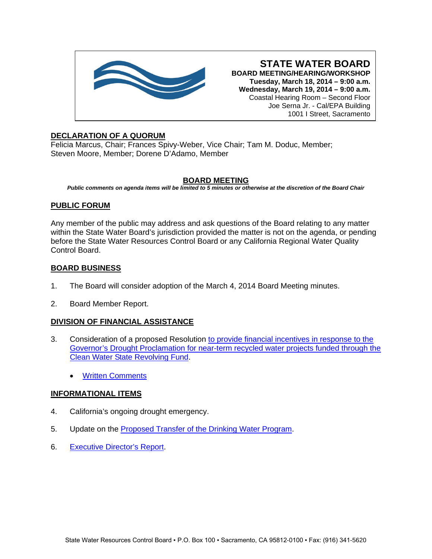

**STATE WATER BOARD BOARD MEETING/HEARING/WORKSHOP Tuesday, March 18, 2014 – 9:00 a.m. Wednesday, March 19, 2014 – 9:00 a.m.** Coastal Hearing Room – Second Floor Joe Serna Jr. - Cal/EPA Building 1001 I Street, Sacramento

## **DECLARATION OF A QUORUM**

Felicia Marcus, Chair; Frances Spivy-Weber, Vice Chair; Tam M. Doduc, Member; Steven Moore, Member; Dorene D'Adamo, Member

## **BOARD MEETING**

*Public comments on agenda items will be limited to 5 minutes or otherwise at the discretion of the Board Chair*

# **PUBLIC FORUM**

Any member of the public may address and ask questions of the Board relating to any matter within the State Water Board's jurisdiction provided the matter is not on the agenda, or pending before the State Water Resources Control Board or any California Regional Water Quality Control Board.

# **BOARD BUSINESS**

- 1. The Board will consider adoption of the March 4, 2014 Board Meeting minutes.
- 2. Board Member Report.

## **DIVISION OF FINANCIAL ASSISTANCE**

- 3. Consideration of a proposed Resolution [to provide financial incentives in response to the](http://www.waterboards.ca.gov/board_info/agendas/2014/mar/031814_3_with_draft_res.pdf)  [Governor's Drought Proclamation for near-term recycled water projects funded through the](http://www.waterboards.ca.gov/board_info/agendas/2014/mar/031814_3_with_draft_res.pdf)  [Clean Water State Revolving Fund.](http://www.waterboards.ca.gov/board_info/agendas/2014/mar/031814_3_with_draft_res.pdf)
	- **[Written Comments](http://www.waterboards.ca.gov/board_info/agendas/2014/mar/list_of_commenters_cwsrf.pdf)**

## **INFORMATIONAL ITEMS**

- 4. California's ongoing drought emergency.
- 5. Update on the [Proposed Transfer of the Drinking Water Program.](http://www.waterboards.ca.gov/board_info/agendas/2014/mar/031814_5.pdf)
- 6. [Executive Director's Report.](http://www.waterboards.ca.gov/board_info/exec_dir_rpts/2014/edrpt031814.pdf)